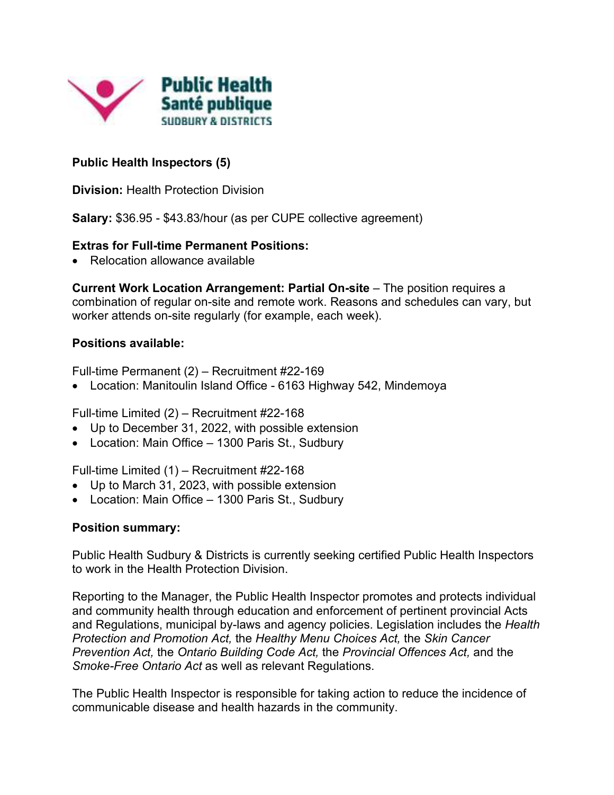

# **Public Health Inspectors (5)**

**Division:** Health Protection Division

**Salary:** \$36.95 - \$43.83/hour (as per CUPE collective agreement)

#### **Extras for Full-time Permanent Positions:**

• Relocation allowance available

**Current Work Location Arrangement: Partial On-site** – The position requires a combination of regular on-site and remote work. Reasons and schedules can vary, but worker attends on-site regularly (for example, each week).

### **Positions available:**

Full-time Permanent (2) – Recruitment #22-169

Location: Manitoulin Island Office - 6163 Highway 542, Mindemoya

Full-time Limited (2) – Recruitment #22-168

- Up to December 31, 2022, with possible extension
- Location: Main Office 1300 Paris St., Sudbury

Full-time Limited (1) – Recruitment #22-168

- Up to March 31, 2023, with possible extension
- Location: Main Office 1300 Paris St., Sudbury

### **Position summary:**

Public Health Sudbury & Districts is currently seeking certified Public Health Inspectors to work in the Health Protection Division.

Reporting to the Manager, the Public Health Inspector promotes and protects individual and community health through education and enforcement of pertinent provincial Acts and Regulations, municipal by-laws and agency policies. Legislation includes the *Health Protection and Promotion Act,* the *Healthy Menu Choices Act,* the *Skin Cancer Prevention Act,* the *Ontario Building Code Act,* the *Provincial Offences Act,* and the *Smoke-Free Ontario Act* as well as relevant Regulations.

The Public Health Inspector is responsible for taking action to reduce the incidence of communicable disease and health hazards in the community.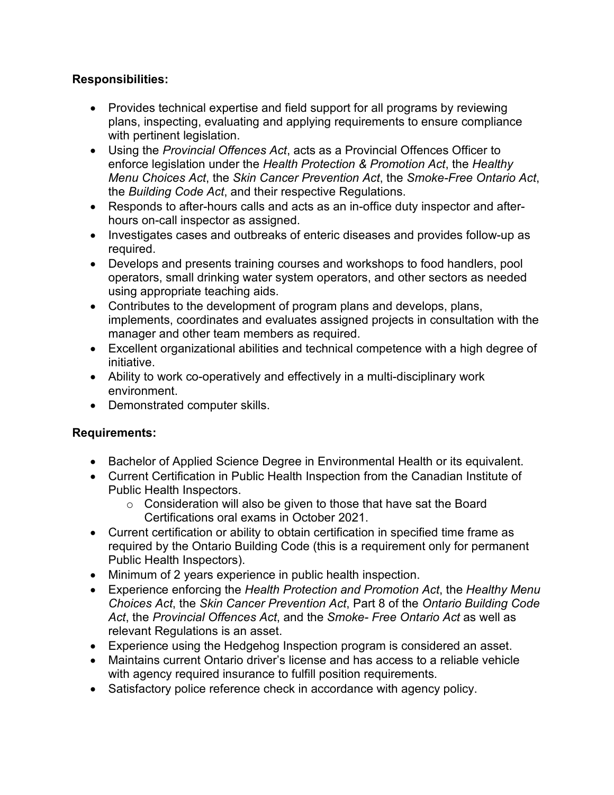## **Responsibilities:**

- Provides technical expertise and field support for all programs by reviewing plans, inspecting, evaluating and applying requirements to ensure compliance with pertinent legislation.
- Using the *Provincial Offences Act*, acts as a Provincial Offences Officer to enforce legislation under the *Health Protection & Promotion Act*, the *Healthy Menu Choices Act*, the *Skin Cancer Prevention Act*, the *Smoke-Free Ontario Act*, the *Building Code Act*, and their respective Regulations.
- Responds to after-hours calls and acts as an in-office duty inspector and afterhours on-call inspector as assigned.
- Investigates cases and outbreaks of enteric diseases and provides follow-up as required.
- Develops and presents training courses and workshops to food handlers, pool operators, small drinking water system operators, and other sectors as needed using appropriate teaching aids.
- Contributes to the development of program plans and develops, plans, implements, coordinates and evaluates assigned projects in consultation with the manager and other team members as required.
- Excellent organizational abilities and technical competence with a high degree of initiative.
- Ability to work co-operatively and effectively in a multi-disciplinary work environment.
- Demonstrated computer skills.

### **Requirements:**

- Bachelor of Applied Science Degree in Environmental Health or its equivalent.
- Current Certification in Public Health Inspection from the Canadian Institute of Public Health Inspectors.
	- $\circ$  Consideration will also be given to those that have sat the Board Certifications oral exams in October 2021.
- Current certification or ability to obtain certification in specified time frame as required by the Ontario Building Code (this is a requirement only for permanent Public Health Inspectors).
- Minimum of 2 years experience in public health inspection.
- Experience enforcing the *Health Protection and Promotion Act*, the *Healthy Menu Choices Act*, the *Skin Cancer Prevention Act*, Part 8 of the *Ontario Building Code Act*, the *Provincial Offences Act*, and the *Smoke- Free Ontario Act* as well as relevant Regulations is an asset.
- Experience using the Hedgehog Inspection program is considered an asset.
- Maintains current Ontario driver's license and has access to a reliable vehicle with agency required insurance to fulfill position requirements.
- Satisfactory police reference check in accordance with agency policy.